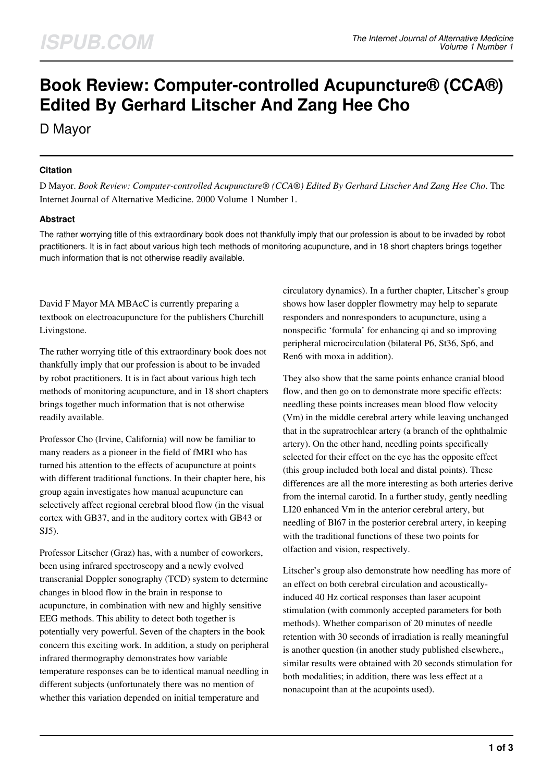# **Book Review: Computer-controlled Acupuncture® (CCA®) Edited By Gerhard Litscher And Zang Hee Cho**

D Mayor

## **Citation**

D Mayor. *Book Review: Computer-controlled Acupuncture® (CCA®) Edited By Gerhard Litscher And Zang Hee Cho*. The Internet Journal of Alternative Medicine. 2000 Volume 1 Number 1.

## **Abstract**

The rather worrying title of this extraordinary book does not thankfully imply that our profession is about to be invaded by robot practitioners. It is in fact about various high tech methods of monitoring acupuncture, and in 18 short chapters brings together much information that is not otherwise readily available.

David F Mayor MA MBAcC is currently preparing a textbook on electroacupuncture for the publishers Churchill Livingstone.

The rather worrying title of this extraordinary book does not thankfully imply that our profession is about to be invaded by robot practitioners. It is in fact about various high tech methods of monitoring acupuncture, and in 18 short chapters brings together much information that is not otherwise readily available.

Professor Cho (Irvine, California) will now be familiar to many readers as a pioneer in the field of fMRI who has turned his attention to the effects of acupuncture at points with different traditional functions. In their chapter here, his group again investigates how manual acupuncture can selectively affect regional cerebral blood flow (in the visual cortex with GB37, and in the auditory cortex with GB43 or SJ5).

Professor Litscher (Graz) has, with a number of coworkers, been using infrared spectroscopy and a newly evolved transcranial Doppler sonography (TCD) system to determine changes in blood flow in the brain in response to acupuncture, in combination with new and highly sensitive EEG methods. This ability to detect both together is potentially very powerful. Seven of the chapters in the book concern this exciting work. In addition, a study on peripheral infrared thermography demonstrates how variable temperature responses can be to identical manual needling in different subjects (unfortunately there was no mention of whether this variation depended on initial temperature and

circulatory dynamics). In a further chapter, Litscher's group shows how laser doppler flowmetry may help to separate responders and nonresponders to acupuncture, using a nonspecific 'formula' for enhancing qi and so improving peripheral microcirculation (bilateral P6, St36, Sp6, and Ren6 with moxa in addition).

They also show that the same points enhance cranial blood flow, and then go on to demonstrate more specific effects: needling these points increases mean blood flow velocity (Vm) in the middle cerebral artery while leaving unchanged that in the supratrochlear artery (a branch of the ophthalmic artery). On the other hand, needling points specifically selected for their effect on the eye has the opposite effect (this group included both local and distal points). These differences are all the more interesting as both arteries derive from the internal carotid. In a further study, gently needling LI20 enhanced Vm in the anterior cerebral artery, but needling of Bl67 in the posterior cerebral artery, in keeping with the traditional functions of these two points for olfaction and vision, respectively.

Litscher's group also demonstrate how needling has more of an effect on both cerebral circulation and acousticallyinduced 40 Hz cortical responses than laser acupoint stimulation (with commonly accepted parameters for both methods). Whether comparison of 20 minutes of needle retention with 30 seconds of irradiation is really meaningful is another question (in another study published elsewhere, $_1$ ) similar results were obtained with 20 seconds stimulation for both modalities; in addition, there was less effect at a nonacupoint than at the acupoints used).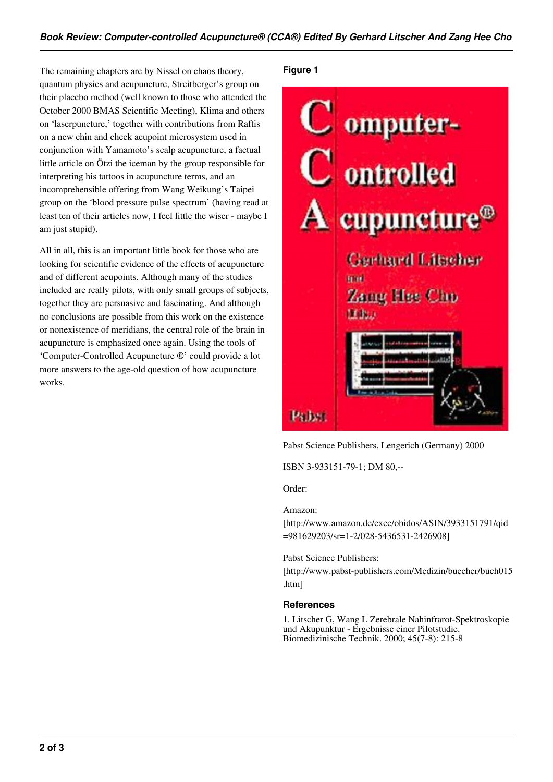The remaining chapters are by Nissel on chaos theory, quantum physics and acupuncture, Streitberger's group on their placebo method (well known to those who attended the October 2000 BMAS Scientific Meeting), Klima and others on 'laserpuncture,' together with contributions from Raftis on a new chin and cheek acupoint microsystem used in conjunction with Yamamoto's scalp acupuncture, a factual little article on Ötzi the iceman by the group responsible for interpreting his tattoos in acupuncture terms, and an incomprehensible offering from Wang Weikung's Taipei group on the 'blood pressure pulse spectrum' (having read at least ten of their articles now, I feel little the wiser - maybe I am just stupid).

All in all, this is an important little book for those who are looking for scientific evidence of the effects of acupuncture and of different acupoints. Although many of the studies included are really pilots, with only small groups of subjects, together they are persuasive and fascinating. And although no conclusions are possible from this work on the existence or nonexistence of meridians, the central role of the brain in acupuncture is emphasized once again. Using the tools of 'Computer-Controlled Acupuncture ®' could provide a lot more answers to the age-old question of how acupuncture works.

### **Figure 1**



Pabst Science Publishers, Lengerich (Germany) 2000

ISBN 3-933151-79-1; DM 80,--

Order:

#### Amazon:

[http://www.amazon.de/exec/obidos/ASIN/3933151791/qid =981629203/sr=1-2/028-5436531-2426908]

Pabst Science Publishers:

[http://www.pabst-publishers.com/Medizin/buecher/buch015 .htm]

### **References**

1. Litscher G, Wang L Zerebrale Nahinfrarot-Spektroskopie und Akupunktur - Ergebnisse einer Pilotstudie. Biomedizinische Technik. 2000; 45(7-8): 215-8